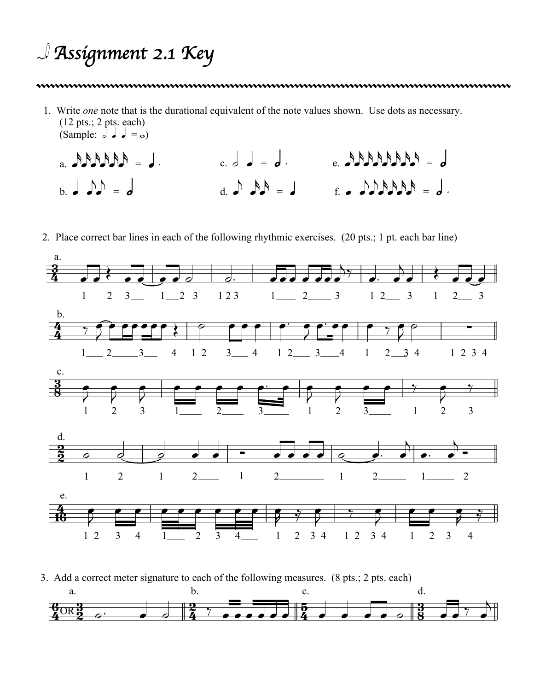## *Assignment 2.1 Key*

1. Write *one* note that is the durational equivalent of the note values shown. Use dots as necessary. (12 pts.; 2 pts. each) (Sample:  $d \cdot d = \infty$ )

- $c. d = d.$  e. AAAAAAA = d  $A = A A A A A$  $b.$   $d.$   $\mathcal{D} = d$ d. e xx <sup>=</sup>q f. q eexxxx <sup>=</sup>h .
- 2. Place correct bar lines in each of the following rhythmic exercises. (20 pts.; 1 pt. each bar line)



3. Add a correct meter signature to each of the following measures. (8 pts.; 2 pts. each) a. b. c. d.

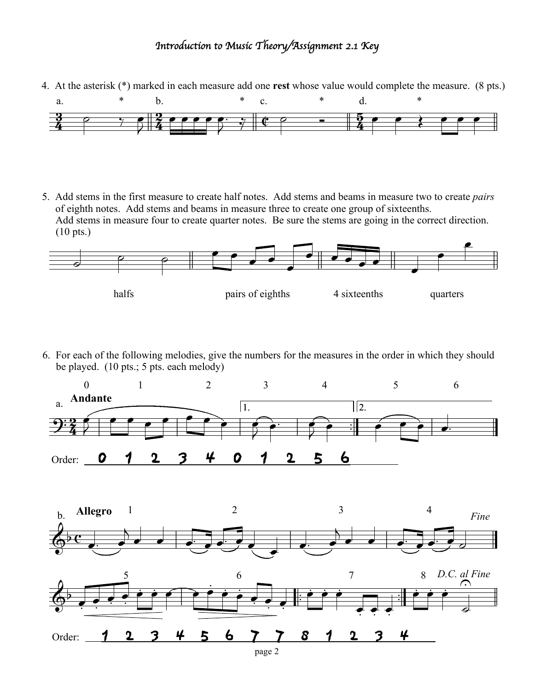## *Introduction to Music Theory/Assignment 2.1 Key*

4. At the asterisk (\*) marked in each measure add one **rest** whose value would complete the measure. (8 pts.)



5. Add stems in the first measure to create half notes. Add stems and beams in measure two to create *pairs* of eighth notes. Add stems and beams in measure three to create one group of sixteenths. Add stems in measure four to create quarter notes. Be sure the stems are going in the correct direction. (10 pts.)



6. For each of the following melodies, give the numbers for the measures in the order in which they should be played. (10 pts.; 5 pts. each melody)